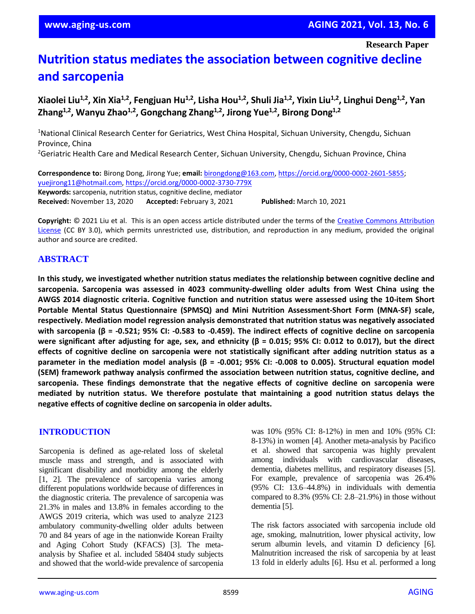**Research Paper**

# **Nutrition status mediates the association between cognitive decline and sarcopenia**

**Xiaolei Liu1,2, Xin Xia1,2, Fengjuan Hu1,2, Lisha Hou1,2, Shuli Jia1,2, Yixin Liu1,2, Linghui Deng1,2 , Yan Zhang1,2, Wanyu Zhao1,2 , Gongchang Zhang1,2, Jirong Yue1,2, Birong Dong1,2**

<sup>1</sup>National Clinical Research Center for Geriatrics, West China Hospital, Sichuan University, Chengdu, Sichuan Province, China

<sup>2</sup>Geriatric Health Care and Medical Research Center, Sichuan University, Chengdu, Sichuan Province, China

**Correspondence to:** Birong Dong, Jirong Yue; **email:** [birongdong@163.com,](mailto:birongdong@163.com) [https://orcid.org/0000-0002-2601-5855;](https://orcid.org/0000-0002-2601-5855) [yuejirong11@hotmail.com,](mailto:yuejirong11@hotmail.com)<https://orcid.org/0000-0002-3730-779X> **Keywords:** sarcopenia, nutrition status, cognitive decline, mediator **Received:** November 13, 2020 **Accepted:** February 3, 2021 **Published:** March 10, 2021

**Copyright:** © 2021 Liu et al. This is an open access article distributed under the terms of the [Creative Commons Attribution](https://creativecommons.org/licenses/by/3.0/)  [License](https://creativecommons.org/licenses/by/3.0/) (CC BY 3.0), which permits unrestricted use, distribution, and reproduction in any medium, provided the original author and source are credited.

## **ABSTRACT**

**In this study, we investigated whether nutrition status mediates the relationship between cognitive decline and sarcopenia. Sarcopenia was assessed in 4023 community-dwelling older adults from West China using the AWGS 2014 diagnostic criteria. Cognitive function and nutrition status were assessed using the 10-item Short Portable Mental Status Questionnaire (SPMSQ) and Mini Nutrition Assessment-Short Form (MNA-SF) scale, respectively. Mediation model regression analysis demonstrated that nutrition status was negatively associated** with sarcopenia ( $\beta$  = -0.521; 95% CI: -0.583 to -0.459). The indirect effects of cognitive decline on sarcopenia were significant after adjusting for age, sex, and ethnicity ( $\beta$  = 0.015; 95% CI: 0.012 to 0.017), but the direct **effects of cognitive decline on sarcopenia were not statistically significant after adding nutrition status as a** parameter in the mediation model analysis ( $\beta$  = -0.001; 95% CI: -0.008 to 0.005). Structural equation model **(SEM) framework pathway analysis confirmed the association between nutrition status, cognitive decline, and sarcopenia. These findings demonstrate that the negative effects of cognitive decline on sarcopenia were mediated by nutrition status. We therefore postulate that maintaining a good nutrition status delays the negative effects of cognitive decline on sarcopenia in older adults.**

#### **INTRODUCTION**

Sarcopenia is defined as age-related loss of skeletal muscle mass and strength, and is associated with significant disability and morbidity among the elderly [1, 2]. The prevalence of sarcopenia varies among different populations worldwide because of differences in the diagnostic criteria. The prevalence of sarcopenia was 21.3% in males and 13.8% in females according to the AWGS 2019 criteria, which was used to analyze 2123 ambulatory community-dwelling older adults between 70 and 84 years of age in the nationwide Korean Frailty and Aging Cohort Study (KFACS) [3]. The metaanalysis by Shafiee et al. included 58404 study subjects and showed that the world-wide prevalence of sarcopenia was 10% (95% CI: 8-12%) in men and 10% (95% CI: 8-13%) in women [4]. Another meta-analysis by Pacifico et al. showed that sarcopenia was highly prevalent among individuals with cardiovascular diseases, dementia, diabetes mellitus, and respiratory diseases [5]. For example, prevalence of sarcopenia was 26.4% (95% CI: 13.6–44.8%) in individuals with dementia compared to 8.3% (95% CI: 2.8–21.9%) in those without dementia [5].

The risk factors associated with sarcopenia include old age, smoking, malnutrition, lower physical activity, low serum albumin levels, and vitamin D deficiency [6]. Malnutrition increased the risk of sarcopenia by at least 13 fold in elderly adults [6]. Hsu et al. performed a long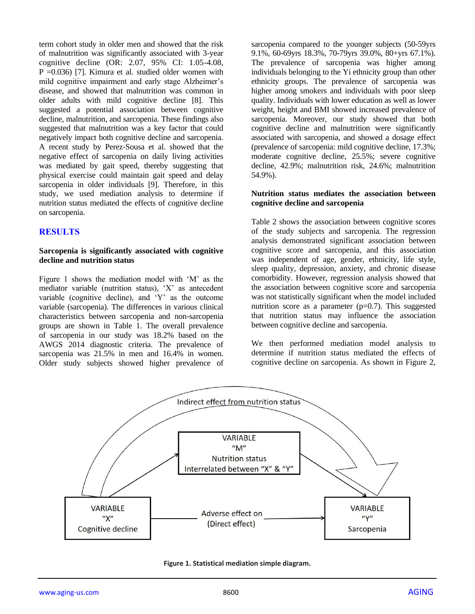term cohort study in older men and showed that the risk of malnutrition was significantly associated with 3-year cognitive decline (OR: 2.07, 95% CI: 1.05-4.08, P =0.036) [7]. Kimura et al. studied older women with mild cognitive impairment and early stage Alzheimer's disease, and showed that malnutrition was common in older adults with mild cognitive decline [8]. This suggested a potential association between cognitive decline, malnutrition, and sarcopenia. These findings also suggested that malnutrition was a key factor that could negatively impact both cognitive decline and sarcopenia. A recent study by Perez-Sousa et al. showed that the negative effect of sarcopenia on daily living activities was mediated by gait speed, thereby suggesting that physical exercise could maintain gait speed and delay sarcopenia in older individuals [9]. Therefore, in this study, we used mediation analysis to determine if nutrition status mediated the effects of cognitive decline on sarcopenia.

## **RESULTS**

#### **Sarcopenia is significantly associated with cognitive decline and nutrition status**

Figure 1 shows the mediation model with 'M' as the mediator variable (nutrition status), 'X' as antecedent variable (cognitive decline), and 'Y' as the outcome variable (sarcopenia). The differences in various clinical characteristics between sarcopenia and non-sarcopenia groups are shown in Table 1. The overall prevalence of sarcopenia in our study was 18.2% based on the AWGS 2014 diagnostic criteria. The prevalence of sarcopenia was 21.5% in men and 16.4% in women. Older study subjects showed higher prevalence of

sarcopenia compared to the younger subjects (50-59yrs 9.1%, 60-69yrs 18.3%, 70-79yrs 39.0%, 80+yrs 67.1%). The prevalence of sarcopenia was higher among individuals belonging to the Yi ethnicity group than other ethnicity groups. The prevalence of sarcopenia was higher among smokers and individuals with poor sleep quality. Individuals with lower education as well as lower weight, height and BMI showed increased prevalence of sarcopenia. Moreover, our study showed that both cognitive decline and malnutrition were significantly associated with sarcopenia, and showed a dosage effect (prevalence of sarcopenia: mild cognitive decline, 17.3%; moderate cognitive decline, 25.5%; severe cognitive decline, 42.9%; malnutrition risk, 24.6%; malnutrition 54.9%).

#### **Nutrition status mediates the association between cognitive decline and sarcopenia**

Table 2 shows the association between cognitive scores of the study subjects and sarcopenia. The regression analysis demonstrated significant association between cognitive score and sarcopenia, and this association was independent of age, gender, ethnicity, life style, sleep quality, depression, anxiety, and chronic disease comorbidity. However, regression analysis showed that the association between cognitive score and sarcopenia was not statistically significant when the model included nutrition score as a parameter  $(p=0.7)$ . This suggested that nutrition status may influence the association between cognitive decline and sarcopenia.

We then performed mediation model analysis to determine if nutrition status mediated the effects of cognitive decline on sarcopenia. As shown in Figure 2,



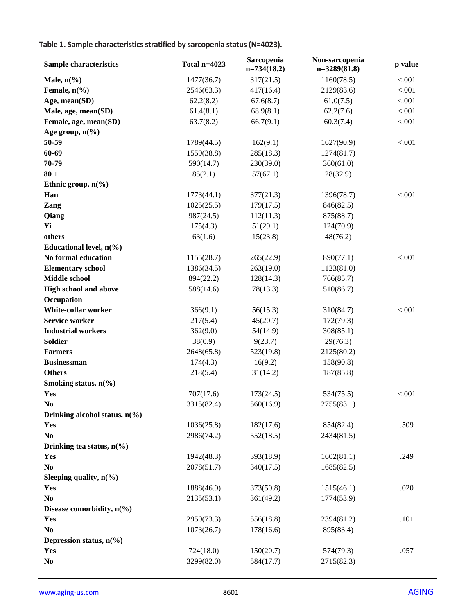**Table 1. Sample characteristics stratified by sarcopenia status(N=4023).**

| Male, $n\frac{6}{6}$<br>1477(36.7)<br>317(21.5)<br>1160(78.5)<br>< .001<br>Female, $n\left(\frac{9}{6}\right)$<br>2546(63.3)<br>417(16.4)<br>2129(83.6)<br>< .001<br>Age, mean(SD)<br>62.2(8.2)<br>67.6(8.7)<br>61.0(7.5)<br>< .001<br>Male, age, mean(SD)<br>61.4(8.1)<br>68.9(8.1)<br>62.2(7.6)<br>< .001<br>Female, age, mean(SD)<br>< .001<br>63.7(8.2)<br>66.7(9.1)<br>60.3(7.4)<br>Age group, $n\left(\frac{6}{6}\right)$<br>50-59<br>1789(44.5)<br>162(9.1)<br>1627(90.9)<br>< .001<br>60-69<br>1559(38.8)<br>285(18.3)<br>1274(81.7)<br>70-79<br>590(14.7)<br>230(39.0)<br>360(61.0)<br>$80 +$<br>85(2.1)<br>57(67.1)<br>28(32.9)<br>Ethnic group, $n\frac{6}{6}$<br>Han<br>< .001<br>1773(44.1)<br>377(21.3)<br>1396(78.7)<br>1025(25.5)<br>179(17.5)<br>846(82.5)<br>Zang<br>987(24.5)<br>112(11.3)<br>875(88.7)<br>Qiang<br>Yi<br>175(4.3)<br>51(29.1)<br>124(70.9)<br>others<br>63(1.6)<br>15(23.8)<br>48(76.2)<br>Educational level, $n(\%)$<br>No formal education<br>1155(28.7)<br>265(22.9)<br>890(77.1)<br>< .001<br><b>Elementary school</b><br>1386(34.5)<br>263(19.0)<br>1123(81.0)<br>Middle school<br>894(22.2)<br>128(14.3)<br>766(85.7)<br><b>High school and above</b><br>588(14.6)<br>78(13.3)<br>510(86.7)<br>Occupation<br><b>White-collar worker</b><br>366(9.1)<br>56(15.3)<br>< .001<br>310(84.7)<br><b>Service worker</b><br>217(5.4)<br>45(20.7)<br>172(79.3)<br><b>Industrial workers</b><br>362(9.0)<br>54(14.9)<br>308(85.1)<br><b>Soldier</b><br>38(0.9)<br>9(23.7)<br>29(76.3)<br><b>Farmers</b><br>2648(65.8)<br>523(19.8)<br>2125(80.2)<br><b>Businessman</b><br>174(4.3)<br>16(9.2)<br>158(90.8)<br><b>Others</b><br>218(5.4)<br>31(14.2)<br>187(85.8)<br>Smoking status, $n\frac{6}{6}$<br>707(17.6)<br>173(24.5)<br>534(75.5)<br>< .001<br>Yes<br>N <sub>0</sub><br>3315(82.4)<br>560(16.9)<br>2755(83.1)<br>Drinking alcohol status, $n\binom{0}{0}$<br>Yes<br>1036(25.8)<br>182(17.6)<br>.509<br>854(82.4)<br>N <sub>0</sub><br>2986(74.2)<br>552(18.5)<br>2434(81.5)<br>Drinking tea status, $n\frac{6}{6}$<br>Yes<br>1942(48.3)<br>393(18.9)<br>1602(81.1)<br>.249<br>No<br>2078(51.7)<br>340(17.5)<br>1685(82.5)<br>Sleeping quality, $n\left(\frac{6}{6}\right)$<br>1888(46.9)<br>373(50.8)<br>.020<br>Yes<br>1515(46.1)<br>No<br>2135(53.1)<br>361(49.2)<br>1774(53.9)<br>Disease comorbidity, $n(\%)$<br>2950(73.3)<br>556(18.8)<br>2394(81.2)<br>.101<br>Yes<br>N <sub>0</sub><br>1073(26.7)<br>895(83.4)<br>178(16.6)<br>Depression status, $n(\%)$<br>Yes<br>724(18.0)<br>150(20.7)<br>574(79.3)<br>.057<br>No<br>3299(82.0)<br>584(17.7)<br>2715(82.3) | Sample characteristics | Total $n=4023$ | Sarcopenia<br>$n=734(18.2)$ | Non-sarcopenia<br>$n=3289(81.8)$ | p value |
|---------------------------------------------------------------------------------------------------------------------------------------------------------------------------------------------------------------------------------------------------------------------------------------------------------------------------------------------------------------------------------------------------------------------------------------------------------------------------------------------------------------------------------------------------------------------------------------------------------------------------------------------------------------------------------------------------------------------------------------------------------------------------------------------------------------------------------------------------------------------------------------------------------------------------------------------------------------------------------------------------------------------------------------------------------------------------------------------------------------------------------------------------------------------------------------------------------------------------------------------------------------------------------------------------------------------------------------------------------------------------------------------------------------------------------------------------------------------------------------------------------------------------------------------------------------------------------------------------------------------------------------------------------------------------------------------------------------------------------------------------------------------------------------------------------------------------------------------------------------------------------------------------------------------------------------------------------------------------------------------------------------------------------------------------------------------------------------------------------------------------------------------------------------------------------------------------------------------------------------------------------------------------------------------------------------------------------------------------------------------------------------------------------------------------------------------------------------------------------------------------------------------------------------------------------------------------------------------------------------|------------------------|----------------|-----------------------------|----------------------------------|---------|
|                                                                                                                                                                                                                                                                                                                                                                                                                                                                                                                                                                                                                                                                                                                                                                                                                                                                                                                                                                                                                                                                                                                                                                                                                                                                                                                                                                                                                                                                                                                                                                                                                                                                                                                                                                                                                                                                                                                                                                                                                                                                                                                                                                                                                                                                                                                                                                                                                                                                                                                                                                                                               |                        |                |                             |                                  |         |
|                                                                                                                                                                                                                                                                                                                                                                                                                                                                                                                                                                                                                                                                                                                                                                                                                                                                                                                                                                                                                                                                                                                                                                                                                                                                                                                                                                                                                                                                                                                                                                                                                                                                                                                                                                                                                                                                                                                                                                                                                                                                                                                                                                                                                                                                                                                                                                                                                                                                                                                                                                                                               |                        |                |                             |                                  |         |
|                                                                                                                                                                                                                                                                                                                                                                                                                                                                                                                                                                                                                                                                                                                                                                                                                                                                                                                                                                                                                                                                                                                                                                                                                                                                                                                                                                                                                                                                                                                                                                                                                                                                                                                                                                                                                                                                                                                                                                                                                                                                                                                                                                                                                                                                                                                                                                                                                                                                                                                                                                                                               |                        |                |                             |                                  |         |
|                                                                                                                                                                                                                                                                                                                                                                                                                                                                                                                                                                                                                                                                                                                                                                                                                                                                                                                                                                                                                                                                                                                                                                                                                                                                                                                                                                                                                                                                                                                                                                                                                                                                                                                                                                                                                                                                                                                                                                                                                                                                                                                                                                                                                                                                                                                                                                                                                                                                                                                                                                                                               |                        |                |                             |                                  |         |
|                                                                                                                                                                                                                                                                                                                                                                                                                                                                                                                                                                                                                                                                                                                                                                                                                                                                                                                                                                                                                                                                                                                                                                                                                                                                                                                                                                                                                                                                                                                                                                                                                                                                                                                                                                                                                                                                                                                                                                                                                                                                                                                                                                                                                                                                                                                                                                                                                                                                                                                                                                                                               |                        |                |                             |                                  |         |
|                                                                                                                                                                                                                                                                                                                                                                                                                                                                                                                                                                                                                                                                                                                                                                                                                                                                                                                                                                                                                                                                                                                                                                                                                                                                                                                                                                                                                                                                                                                                                                                                                                                                                                                                                                                                                                                                                                                                                                                                                                                                                                                                                                                                                                                                                                                                                                                                                                                                                                                                                                                                               |                        |                |                             |                                  |         |
|                                                                                                                                                                                                                                                                                                                                                                                                                                                                                                                                                                                                                                                                                                                                                                                                                                                                                                                                                                                                                                                                                                                                                                                                                                                                                                                                                                                                                                                                                                                                                                                                                                                                                                                                                                                                                                                                                                                                                                                                                                                                                                                                                                                                                                                                                                                                                                                                                                                                                                                                                                                                               |                        |                |                             |                                  |         |
|                                                                                                                                                                                                                                                                                                                                                                                                                                                                                                                                                                                                                                                                                                                                                                                                                                                                                                                                                                                                                                                                                                                                                                                                                                                                                                                                                                                                                                                                                                                                                                                                                                                                                                                                                                                                                                                                                                                                                                                                                                                                                                                                                                                                                                                                                                                                                                                                                                                                                                                                                                                                               |                        |                |                             |                                  |         |
|                                                                                                                                                                                                                                                                                                                                                                                                                                                                                                                                                                                                                                                                                                                                                                                                                                                                                                                                                                                                                                                                                                                                                                                                                                                                                                                                                                                                                                                                                                                                                                                                                                                                                                                                                                                                                                                                                                                                                                                                                                                                                                                                                                                                                                                                                                                                                                                                                                                                                                                                                                                                               |                        |                |                             |                                  |         |
|                                                                                                                                                                                                                                                                                                                                                                                                                                                                                                                                                                                                                                                                                                                                                                                                                                                                                                                                                                                                                                                                                                                                                                                                                                                                                                                                                                                                                                                                                                                                                                                                                                                                                                                                                                                                                                                                                                                                                                                                                                                                                                                                                                                                                                                                                                                                                                                                                                                                                                                                                                                                               |                        |                |                             |                                  |         |
|                                                                                                                                                                                                                                                                                                                                                                                                                                                                                                                                                                                                                                                                                                                                                                                                                                                                                                                                                                                                                                                                                                                                                                                                                                                                                                                                                                                                                                                                                                                                                                                                                                                                                                                                                                                                                                                                                                                                                                                                                                                                                                                                                                                                                                                                                                                                                                                                                                                                                                                                                                                                               |                        |                |                             |                                  |         |
|                                                                                                                                                                                                                                                                                                                                                                                                                                                                                                                                                                                                                                                                                                                                                                                                                                                                                                                                                                                                                                                                                                                                                                                                                                                                                                                                                                                                                                                                                                                                                                                                                                                                                                                                                                                                                                                                                                                                                                                                                                                                                                                                                                                                                                                                                                                                                                                                                                                                                                                                                                                                               |                        |                |                             |                                  |         |
|                                                                                                                                                                                                                                                                                                                                                                                                                                                                                                                                                                                                                                                                                                                                                                                                                                                                                                                                                                                                                                                                                                                                                                                                                                                                                                                                                                                                                                                                                                                                                                                                                                                                                                                                                                                                                                                                                                                                                                                                                                                                                                                                                                                                                                                                                                                                                                                                                                                                                                                                                                                                               |                        |                |                             |                                  |         |
|                                                                                                                                                                                                                                                                                                                                                                                                                                                                                                                                                                                                                                                                                                                                                                                                                                                                                                                                                                                                                                                                                                                                                                                                                                                                                                                                                                                                                                                                                                                                                                                                                                                                                                                                                                                                                                                                                                                                                                                                                                                                                                                                                                                                                                                                                                                                                                                                                                                                                                                                                                                                               |                        |                |                             |                                  |         |
|                                                                                                                                                                                                                                                                                                                                                                                                                                                                                                                                                                                                                                                                                                                                                                                                                                                                                                                                                                                                                                                                                                                                                                                                                                                                                                                                                                                                                                                                                                                                                                                                                                                                                                                                                                                                                                                                                                                                                                                                                                                                                                                                                                                                                                                                                                                                                                                                                                                                                                                                                                                                               |                        |                |                             |                                  |         |
|                                                                                                                                                                                                                                                                                                                                                                                                                                                                                                                                                                                                                                                                                                                                                                                                                                                                                                                                                                                                                                                                                                                                                                                                                                                                                                                                                                                                                                                                                                                                                                                                                                                                                                                                                                                                                                                                                                                                                                                                                                                                                                                                                                                                                                                                                                                                                                                                                                                                                                                                                                                                               |                        |                |                             |                                  |         |
|                                                                                                                                                                                                                                                                                                                                                                                                                                                                                                                                                                                                                                                                                                                                                                                                                                                                                                                                                                                                                                                                                                                                                                                                                                                                                                                                                                                                                                                                                                                                                                                                                                                                                                                                                                                                                                                                                                                                                                                                                                                                                                                                                                                                                                                                                                                                                                                                                                                                                                                                                                                                               |                        |                |                             |                                  |         |
|                                                                                                                                                                                                                                                                                                                                                                                                                                                                                                                                                                                                                                                                                                                                                                                                                                                                                                                                                                                                                                                                                                                                                                                                                                                                                                                                                                                                                                                                                                                                                                                                                                                                                                                                                                                                                                                                                                                                                                                                                                                                                                                                                                                                                                                                                                                                                                                                                                                                                                                                                                                                               |                        |                |                             |                                  |         |
|                                                                                                                                                                                                                                                                                                                                                                                                                                                                                                                                                                                                                                                                                                                                                                                                                                                                                                                                                                                                                                                                                                                                                                                                                                                                                                                                                                                                                                                                                                                                                                                                                                                                                                                                                                                                                                                                                                                                                                                                                                                                                                                                                                                                                                                                                                                                                                                                                                                                                                                                                                                                               |                        |                |                             |                                  |         |
|                                                                                                                                                                                                                                                                                                                                                                                                                                                                                                                                                                                                                                                                                                                                                                                                                                                                                                                                                                                                                                                                                                                                                                                                                                                                                                                                                                                                                                                                                                                                                                                                                                                                                                                                                                                                                                                                                                                                                                                                                                                                                                                                                                                                                                                                                                                                                                                                                                                                                                                                                                                                               |                        |                |                             |                                  |         |
|                                                                                                                                                                                                                                                                                                                                                                                                                                                                                                                                                                                                                                                                                                                                                                                                                                                                                                                                                                                                                                                                                                                                                                                                                                                                                                                                                                                                                                                                                                                                                                                                                                                                                                                                                                                                                                                                                                                                                                                                                                                                                                                                                                                                                                                                                                                                                                                                                                                                                                                                                                                                               |                        |                |                             |                                  |         |
|                                                                                                                                                                                                                                                                                                                                                                                                                                                                                                                                                                                                                                                                                                                                                                                                                                                                                                                                                                                                                                                                                                                                                                                                                                                                                                                                                                                                                                                                                                                                                                                                                                                                                                                                                                                                                                                                                                                                                                                                                                                                                                                                                                                                                                                                                                                                                                                                                                                                                                                                                                                                               |                        |                |                             |                                  |         |
|                                                                                                                                                                                                                                                                                                                                                                                                                                                                                                                                                                                                                                                                                                                                                                                                                                                                                                                                                                                                                                                                                                                                                                                                                                                                                                                                                                                                                                                                                                                                                                                                                                                                                                                                                                                                                                                                                                                                                                                                                                                                                                                                                                                                                                                                                                                                                                                                                                                                                                                                                                                                               |                        |                |                             |                                  |         |
|                                                                                                                                                                                                                                                                                                                                                                                                                                                                                                                                                                                                                                                                                                                                                                                                                                                                                                                                                                                                                                                                                                                                                                                                                                                                                                                                                                                                                                                                                                                                                                                                                                                                                                                                                                                                                                                                                                                                                                                                                                                                                                                                                                                                                                                                                                                                                                                                                                                                                                                                                                                                               |                        |                |                             |                                  |         |
|                                                                                                                                                                                                                                                                                                                                                                                                                                                                                                                                                                                                                                                                                                                                                                                                                                                                                                                                                                                                                                                                                                                                                                                                                                                                                                                                                                                                                                                                                                                                                                                                                                                                                                                                                                                                                                                                                                                                                                                                                                                                                                                                                                                                                                                                                                                                                                                                                                                                                                                                                                                                               |                        |                |                             |                                  |         |
|                                                                                                                                                                                                                                                                                                                                                                                                                                                                                                                                                                                                                                                                                                                                                                                                                                                                                                                                                                                                                                                                                                                                                                                                                                                                                                                                                                                                                                                                                                                                                                                                                                                                                                                                                                                                                                                                                                                                                                                                                                                                                                                                                                                                                                                                                                                                                                                                                                                                                                                                                                                                               |                        |                |                             |                                  |         |
|                                                                                                                                                                                                                                                                                                                                                                                                                                                                                                                                                                                                                                                                                                                                                                                                                                                                                                                                                                                                                                                                                                                                                                                                                                                                                                                                                                                                                                                                                                                                                                                                                                                                                                                                                                                                                                                                                                                                                                                                                                                                                                                                                                                                                                                                                                                                                                                                                                                                                                                                                                                                               |                        |                |                             |                                  |         |
|                                                                                                                                                                                                                                                                                                                                                                                                                                                                                                                                                                                                                                                                                                                                                                                                                                                                                                                                                                                                                                                                                                                                                                                                                                                                                                                                                                                                                                                                                                                                                                                                                                                                                                                                                                                                                                                                                                                                                                                                                                                                                                                                                                                                                                                                                                                                                                                                                                                                                                                                                                                                               |                        |                |                             |                                  |         |
|                                                                                                                                                                                                                                                                                                                                                                                                                                                                                                                                                                                                                                                                                                                                                                                                                                                                                                                                                                                                                                                                                                                                                                                                                                                                                                                                                                                                                                                                                                                                                                                                                                                                                                                                                                                                                                                                                                                                                                                                                                                                                                                                                                                                                                                                                                                                                                                                                                                                                                                                                                                                               |                        |                |                             |                                  |         |
|                                                                                                                                                                                                                                                                                                                                                                                                                                                                                                                                                                                                                                                                                                                                                                                                                                                                                                                                                                                                                                                                                                                                                                                                                                                                                                                                                                                                                                                                                                                                                                                                                                                                                                                                                                                                                                                                                                                                                                                                                                                                                                                                                                                                                                                                                                                                                                                                                                                                                                                                                                                                               |                        |                |                             |                                  |         |
|                                                                                                                                                                                                                                                                                                                                                                                                                                                                                                                                                                                                                                                                                                                                                                                                                                                                                                                                                                                                                                                                                                                                                                                                                                                                                                                                                                                                                                                                                                                                                                                                                                                                                                                                                                                                                                                                                                                                                                                                                                                                                                                                                                                                                                                                                                                                                                                                                                                                                                                                                                                                               |                        |                |                             |                                  |         |
|                                                                                                                                                                                                                                                                                                                                                                                                                                                                                                                                                                                                                                                                                                                                                                                                                                                                                                                                                                                                                                                                                                                                                                                                                                                                                                                                                                                                                                                                                                                                                                                                                                                                                                                                                                                                                                                                                                                                                                                                                                                                                                                                                                                                                                                                                                                                                                                                                                                                                                                                                                                                               |                        |                |                             |                                  |         |
|                                                                                                                                                                                                                                                                                                                                                                                                                                                                                                                                                                                                                                                                                                                                                                                                                                                                                                                                                                                                                                                                                                                                                                                                                                                                                                                                                                                                                                                                                                                                                                                                                                                                                                                                                                                                                                                                                                                                                                                                                                                                                                                                                                                                                                                                                                                                                                                                                                                                                                                                                                                                               |                        |                |                             |                                  |         |
|                                                                                                                                                                                                                                                                                                                                                                                                                                                                                                                                                                                                                                                                                                                                                                                                                                                                                                                                                                                                                                                                                                                                                                                                                                                                                                                                                                                                                                                                                                                                                                                                                                                                                                                                                                                                                                                                                                                                                                                                                                                                                                                                                                                                                                                                                                                                                                                                                                                                                                                                                                                                               |                        |                |                             |                                  |         |
|                                                                                                                                                                                                                                                                                                                                                                                                                                                                                                                                                                                                                                                                                                                                                                                                                                                                                                                                                                                                                                                                                                                                                                                                                                                                                                                                                                                                                                                                                                                                                                                                                                                                                                                                                                                                                                                                                                                                                                                                                                                                                                                                                                                                                                                                                                                                                                                                                                                                                                                                                                                                               |                        |                |                             |                                  |         |
|                                                                                                                                                                                                                                                                                                                                                                                                                                                                                                                                                                                                                                                                                                                                                                                                                                                                                                                                                                                                                                                                                                                                                                                                                                                                                                                                                                                                                                                                                                                                                                                                                                                                                                                                                                                                                                                                                                                                                                                                                                                                                                                                                                                                                                                                                                                                                                                                                                                                                                                                                                                                               |                        |                |                             |                                  |         |
|                                                                                                                                                                                                                                                                                                                                                                                                                                                                                                                                                                                                                                                                                                                                                                                                                                                                                                                                                                                                                                                                                                                                                                                                                                                                                                                                                                                                                                                                                                                                                                                                                                                                                                                                                                                                                                                                                                                                                                                                                                                                                                                                                                                                                                                                                                                                                                                                                                                                                                                                                                                                               |                        |                |                             |                                  |         |
|                                                                                                                                                                                                                                                                                                                                                                                                                                                                                                                                                                                                                                                                                                                                                                                                                                                                                                                                                                                                                                                                                                                                                                                                                                                                                                                                                                                                                                                                                                                                                                                                                                                                                                                                                                                                                                                                                                                                                                                                                                                                                                                                                                                                                                                                                                                                                                                                                                                                                                                                                                                                               |                        |                |                             |                                  |         |
|                                                                                                                                                                                                                                                                                                                                                                                                                                                                                                                                                                                                                                                                                                                                                                                                                                                                                                                                                                                                                                                                                                                                                                                                                                                                                                                                                                                                                                                                                                                                                                                                                                                                                                                                                                                                                                                                                                                                                                                                                                                                                                                                                                                                                                                                                                                                                                                                                                                                                                                                                                                                               |                        |                |                             |                                  |         |
|                                                                                                                                                                                                                                                                                                                                                                                                                                                                                                                                                                                                                                                                                                                                                                                                                                                                                                                                                                                                                                                                                                                                                                                                                                                                                                                                                                                                                                                                                                                                                                                                                                                                                                                                                                                                                                                                                                                                                                                                                                                                                                                                                                                                                                                                                                                                                                                                                                                                                                                                                                                                               |                        |                |                             |                                  |         |
|                                                                                                                                                                                                                                                                                                                                                                                                                                                                                                                                                                                                                                                                                                                                                                                                                                                                                                                                                                                                                                                                                                                                                                                                                                                                                                                                                                                                                                                                                                                                                                                                                                                                                                                                                                                                                                                                                                                                                                                                                                                                                                                                                                                                                                                                                                                                                                                                                                                                                                                                                                                                               |                        |                |                             |                                  |         |
|                                                                                                                                                                                                                                                                                                                                                                                                                                                                                                                                                                                                                                                                                                                                                                                                                                                                                                                                                                                                                                                                                                                                                                                                                                                                                                                                                                                                                                                                                                                                                                                                                                                                                                                                                                                                                                                                                                                                                                                                                                                                                                                                                                                                                                                                                                                                                                                                                                                                                                                                                                                                               |                        |                |                             |                                  |         |
|                                                                                                                                                                                                                                                                                                                                                                                                                                                                                                                                                                                                                                                                                                                                                                                                                                                                                                                                                                                                                                                                                                                                                                                                                                                                                                                                                                                                                                                                                                                                                                                                                                                                                                                                                                                                                                                                                                                                                                                                                                                                                                                                                                                                                                                                                                                                                                                                                                                                                                                                                                                                               |                        |                |                             |                                  |         |
|                                                                                                                                                                                                                                                                                                                                                                                                                                                                                                                                                                                                                                                                                                                                                                                                                                                                                                                                                                                                                                                                                                                                                                                                                                                                                                                                                                                                                                                                                                                                                                                                                                                                                                                                                                                                                                                                                                                                                                                                                                                                                                                                                                                                                                                                                                                                                                                                                                                                                                                                                                                                               |                        |                |                             |                                  |         |
|                                                                                                                                                                                                                                                                                                                                                                                                                                                                                                                                                                                                                                                                                                                                                                                                                                                                                                                                                                                                                                                                                                                                                                                                                                                                                                                                                                                                                                                                                                                                                                                                                                                                                                                                                                                                                                                                                                                                                                                                                                                                                                                                                                                                                                                                                                                                                                                                                                                                                                                                                                                                               |                        |                |                             |                                  |         |
|                                                                                                                                                                                                                                                                                                                                                                                                                                                                                                                                                                                                                                                                                                                                                                                                                                                                                                                                                                                                                                                                                                                                                                                                                                                                                                                                                                                                                                                                                                                                                                                                                                                                                                                                                                                                                                                                                                                                                                                                                                                                                                                                                                                                                                                                                                                                                                                                                                                                                                                                                                                                               |                        |                |                             |                                  |         |
|                                                                                                                                                                                                                                                                                                                                                                                                                                                                                                                                                                                                                                                                                                                                                                                                                                                                                                                                                                                                                                                                                                                                                                                                                                                                                                                                                                                                                                                                                                                                                                                                                                                                                                                                                                                                                                                                                                                                                                                                                                                                                                                                                                                                                                                                                                                                                                                                                                                                                                                                                                                                               |                        |                |                             |                                  |         |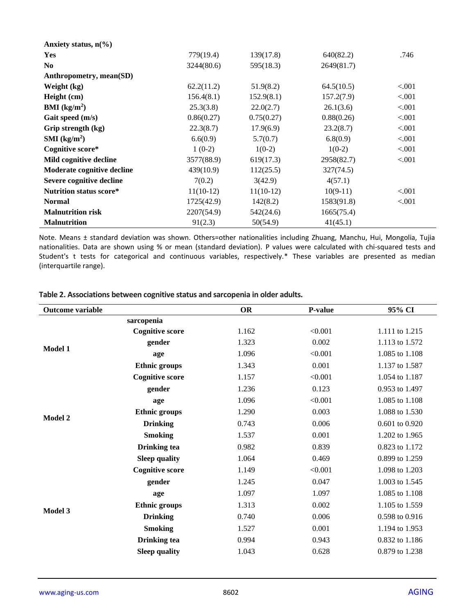| Anxiety status, $n\frac{6}{6}$ |             |             |            |          |
|--------------------------------|-------------|-------------|------------|----------|
| Yes                            | 779(19.4)   | 139(17.8)   | 640(82.2)  | .746     |
| N <sub>0</sub>                 | 3244(80.6)  | 595(18.3)   | 2649(81.7) |          |
| Anthropometry, mean(SD)        |             |             |            |          |
| Weight (kg)                    | 62.2(11.2)  | 51.9(8.2)   | 64.5(10.5) | < 0.001  |
| Height (cm)                    | 156.4(8.1)  | 152.9(8.1)  | 157.2(7.9) | < .001   |
| <b>BMI</b> ( $kg/m2$ )         | 25.3(3.8)   | 22.0(2.7)   | 26.1(3.6)  | < .001   |
| Gait speed (m/s)               | 0.86(0.27)  | 0.75(0.27)  | 0.88(0.26) | < .001   |
| Grip strength (kg)             | 22.3(8.7)   | 17.9(6.9)   | 23.2(8.7)  | < .001   |
| $SMI$ (kg/m <sup>2</sup> )     | 6.6(0.9)    | 5.7(0.7)    | 6.8(0.9)   | < .001   |
| Cognitive score*               | $1(0-2)$    | $1(0-2)$    | $1(0-2)$   | < .001   |
| Mild cognitive decline         | 3577(88.9)  | 619(17.3)   | 2958(82.7) | < .001   |
| Moderate cognitive decline     | 439(10.9)   | 112(25.5)   | 327(74.5)  |          |
| Severe cognitive decline       | 7(0.2)      | 3(42.9)     | 4(57.1)    |          |
| <b>Nutrition status score*</b> | $11(10-12)$ | $11(10-12)$ | $10(9-11)$ | < 0.001  |
| <b>Normal</b>                  | 1725(42.9)  | 142(8.2)    | 1583(91.8) | ${<}001$ |
| <b>Malnutrition risk</b>       | 2207(54.9)  | 542(24.6)   | 1665(75.4) |          |
| <b>Malnutrition</b>            | 91(2.3)     | 50(54.9)    | 41(45.1)   |          |

Note. Means ± standard deviation was shown. Others=other nationalities including Zhuang, Manchu, Hui, Mongolia, Tujia nationalities. Data are shown using % or mean (standard deviation). P values were calculated with chi-squared tests and Student's t tests for categorical and continuous variables, respectively.\* These variables are presented as median (interquartile range).

| Outcome variable |                        | <b>OR</b> | P-value | 95% CI             |
|------------------|------------------------|-----------|---------|--------------------|
|                  | sarcopenia             |           |         |                    |
|                  | <b>Cognitive score</b> | 1.162     | < 0.001 | 1.111 to 1.215     |
| Model 1          | gender                 | 1.323     | 0.002   | 1.113 to 1.572     |
|                  | age                    | 1.096     | < 0.001 | 1.085 to 1.108     |
|                  | <b>Ethnic groups</b>   | 1.343     | 0.001   | 1.137 to 1.587     |
|                  | <b>Cognitive score</b> | 1.157     | < 0.001 | 1.054 to 1.187     |
|                  | gender                 | 1.236     | 0.123   | 0.953 to 1.497     |
|                  | age                    | 1.096     | < 0.001 | 1.085 to 1.108     |
| Model 2          | <b>Ethnic groups</b>   | 1.290     | 0.003   | 1.088 to 1.530     |
|                  | <b>Drinking</b>        | 0.743     | 0.006   | $0.601$ to $0.920$ |
|                  | <b>Smoking</b>         | 1.537     | 0.001   | 1.202 to 1.965     |
|                  | <b>Drinking</b> tea    | 0.982     | 0.839   | 0.823 to 1.172     |
|                  | <b>Sleep quality</b>   | 1.064     | 0.469   | 0.899 to 1.259     |
|                  | <b>Cognitive score</b> | 1.149     | < 0.001 | 1.098 to 1.203     |
|                  | gender                 | 1.245     | 0.047   | 1.003 to 1.545     |
|                  | age                    | 1.097     | 1.097   | 1.085 to 1.108     |
|                  | <b>Ethnic groups</b>   | 1.313     | 0.002   | 1.105 to 1.559     |
| Model 3          | <b>Drinking</b>        | 0.740     | 0.006   | 0.598 to 0.916     |
|                  | <b>Smoking</b>         | 1.527     | 0.001   | 1.194 to 1.953     |
|                  | <b>Drinking</b> tea    | 0.994     | 0.943   | 0.832 to 1.186     |
|                  | <b>Sleep quality</b>   | 1.043     | 0.628   | 0.879 to 1.238     |
|                  |                        |           |         |                    |

**Table 2. Associations between cognitive status and sarcopenia in older adults.**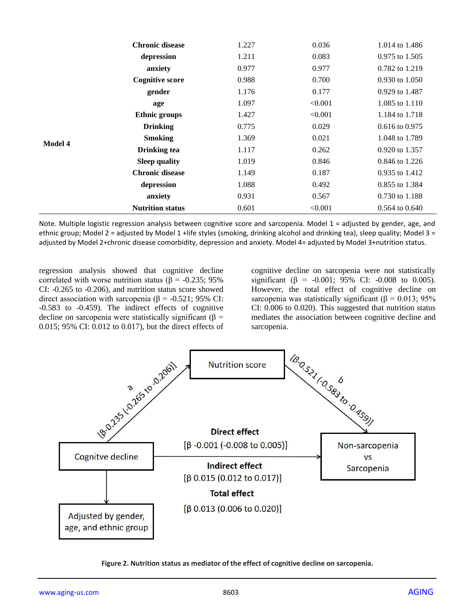|                | <b>Chronic disease</b>  | 1.227 | 0.036   | 1.014 to 1.486            |
|----------------|-------------------------|-------|---------|---------------------------|
|                | depression              | 1.211 | 0.083   | 0.975 to 1.505            |
|                | anxiety                 | 0.977 | 0.977   | 0.782 to 1.219            |
| <b>Model 4</b> | <b>Cognitive score</b>  | 0.988 | 0.700   | $0.930 \text{ to } 1.050$ |
|                | gender                  | 1.176 | 0.177   | 0.929 to 1.487            |
|                | age                     | 1.097 | < 0.001 | 1.085 to 1.110            |
|                | <b>Ethnic groups</b>    | 1.427 | < 0.001 | 1.184 to 1.718            |
|                | <b>Drinking</b>         | 0.775 | 0.029   | $0.616$ to $0.975$        |
|                | <b>Smoking</b>          | 1.369 | 0.021   | 1.048 to 1.789            |
|                | <b>Drinking tea</b>     | 1.117 | 0.262   | 0.920 to 1.357            |
|                | <b>Sleep quality</b>    | 1.019 | 0.846   | 0.846 to 1.226            |
|                | <b>Chronic disease</b>  | 1.149 | 0.187   | 0.935 to 1.412            |
|                | depression              | 1.088 | 0.492   | 0.855 to 1.384            |
|                | anxiety                 | 0.931 | 0.567   | 0.730 to 1.188            |
|                | <b>Nutrition status</b> | 0.601 | < 0.001 | $0.564$ to $0.640$        |

Note. Multiple logistic regression analysis between cognitive score and sarcopenia. Model 1 = adjusted by gender, age, and ethnic group; Model 2 = adjusted by Model 1 +life styles (smoking, drinking alcohol and drinking tea), sleep quality; Model 3 = adjusted by Model 2+chronic disease comorbidity, depression and anxiety. Model 4= adjusted by Model 3+nutrition status.

regression analysis showed that cognitive decline correlated with worse nutrition status ( $\beta$  = -0.235; 95%) CI: -0.265 to -0.206), and nutrition status score showed direct association with sarcopenia (β = -0.521; 95% CI: -0.583 to -0.459). The indirect effects of cognitive decline on sarcopenia were statistically significant (β = 0.015; 95% CI: 0.012 to 0.017), but the direct effects of cognitive decline on sarcopenia were not statistically significant ( $\beta$  = -0.001; 95% CI: -0.008 to 0.005). However, the total effect of cognitive decline on sarcopenia was statistically significant ( $\beta = 0.013$ ; 95% CI: 0.006 to 0.020). This suggested that nutrition status mediates the association between cognitive decline and sarcopenia.



**Figure 2. Nutrition status as mediator of the effect of cognitive decline on sarcopenia.**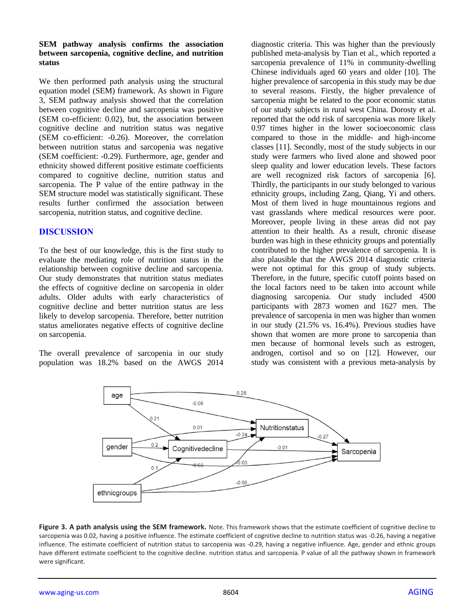#### **SEM pathway analysis confirms the association between sarcopenia, cognitive decline, and nutrition status**

We then performed path analysis using the structural equation model (SEM) framework. As shown in Figure 3, SEM pathway analysis showed that the correlation between cognitive decline and sarcopenia was positive (SEM co-efficient: 0.02), but, the association between cognitive decline and nutrition status was negative (SEM co-efficient: -0.26). Moreover, the correlation between nutrition status and sarcopenia was negative (SEM coefficient: -0.29). Furthermore, age, gender and ethnicity showed different positive estimate coefficients compared to cognitive decline, nutrition status and sarcopenia. The P value of the entire pathway in the SEM structure model was statistically significant. These results further confirmed the association between sarcopenia, nutrition status, and cognitive decline.

## **DISCUSSION**

To the best of our knowledge, this is the first study to evaluate the mediating role of nutrition status in the relationship between cognitive decline and sarcopenia. Our study demonstrates that nutrition status mediates the effects of cognitive decline on sarcopenia in older adults. Older adults with early characteristics of cognitive decline and better nutrition status are less likely to develop sarcopenia. Therefore, better nutrition status ameliorates negative effects of cognitive decline on sarcopenia.

The overall prevalence of sarcopenia in our study population was 18.2% based on the AWGS 2014 diagnostic criteria. This was higher than the previously published meta-analysis by Tian et al., which reported a sarcopenia prevalence of 11% in community-dwelling Chinese individuals aged 60 years and older [10]. The higher prevalence of sarcopenia in this study may be due to several reasons. Firstly, the higher prevalence of sarcopenia might be related to the poor economic status of our study subjects in rural west China. Dorosty et al. reported that the odd risk of sarcopenia was more likely 0.97 times higher in the lower socioeconomic class compared to those in the middle- and high-income classes [11]. Secondly, most of the study subjects in our study were farmers who lived alone and showed poor sleep quality and lower education levels. These factors are well recognized risk factors of sarcopenia [6]. Thirdly, the participants in our study belonged to various ethnicity groups, including Zang, Qiang, Yi and others. Most of them lived in huge mountainous regions and vast grasslands where medical resources were poor. Moreover, people living in these areas did not pay attention to their health. As a result, chronic disease burden was high in these ethnicity groups and potentially contributed to the higher prevalence of sarcopenia. It is also plausible that the AWGS 2014 diagnostic criteria were not optimal for this group of study subjects. Therefore, in the future, specific cutoff points based on the local factors need to be taken into account while diagnosing sarcopenia. Our study included 4500 participants with 2873 women and 1627 men. The prevalence of sarcopenia in men was higher than women in our study (21.5% vs. 16.4%). Previous studies have shown that women are more prone to sarcopenia than men because of hormonal levels such as estrogen, androgen, cortisol and so on [12]. However, our study was consistent with a previous meta-analysis by



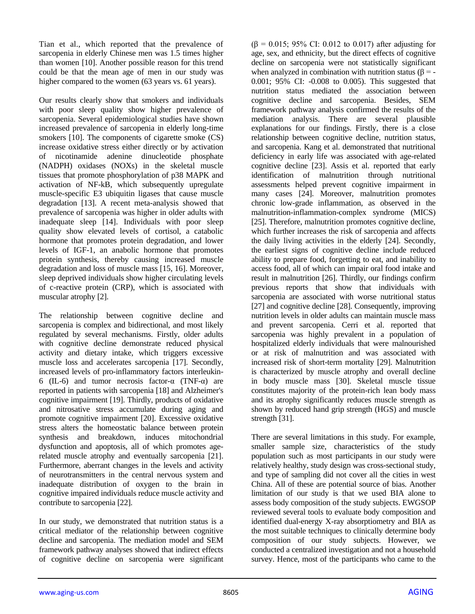Tian et al., which reported that the prevalence of sarcopenia in elderly Chinese men was 1.5 times higher than women [10]. Another possible reason for this trend could be that the mean age of men in our study was higher compared to the women (63 years vs. 61 years).

Our results clearly show that smokers and individuals with poor sleep quality show higher prevalence of sarcopenia. Several epidemiological studies have shown increased prevalence of sarcopenia in elderly long-time smokers [10]. The components of cigarette smoke (CS) increase oxidative stress either directly or by activation of nicotinamide adenine dinucleotide phosphate (NADPH) oxidases (NOXs) in the skeletal muscle tissues that promote phosphorylation of p38 MAPK and activation of NF-kB, which subsequently upregulate muscle-specific E3 ubiquitin ligases that cause muscle degradation [13]. A recent meta-analysis showed that prevalence of sarcopenia was higher in older adults with inadequate sleep [14]. Individuals with poor sleep quality show elevated levels of cortisol, a catabolic hormone that promotes protein degradation, and lower levels of IGF-1, an anabolic hormone that promotes protein synthesis, thereby causing increased muscle degradation and loss of muscle mass [15, 16]. Moreover, sleep deprived individuals show higher circulating levels of c-reactive protein (CRP), which is associated with muscular atrophy [2].

The relationship between cognitive decline and sarcopenia is complex and bidirectional, and most likely regulated by several mechanisms. Firstly, older adults with cognitive decline demonstrate reduced physical activity and dietary intake, which triggers excessive muscle loss and accelerates sarcopenia [17]. Secondly, increased levels of pro-inflammatory factors interleukin-6 (IL-6) and tumor necrosis factor- $\alpha$  (TNF- $\alpha$ ) are reported in patients with sarcopenia [18] and Alzheimer's cognitive impairment [19]. Thirdly, products of oxidative and nitrosative stress accumulate during aging and promote cognitive impairment [20]. Excessive oxidative stress alters the homeostatic balance between protein synthesis and breakdown, induces mitochondrial dysfunction and apoptosis, all of which promotes agerelated muscle atrophy and eventually sarcopenia [21]. Furthermore, aberrant changes in the levels and activity of neurotransmitters in the central nervous system and inadequate distribution of oxygen to the brain in cognitive impaired individuals reduce muscle activity and contribute to sarcopenia [22].

In our study, we demonstrated that nutrition status is a critical mediator of the relationship between cognitive decline and sarcopenia. The mediation model and SEM framework pathway analyses showed that indirect effects of cognitive decline on sarcopenia were significant  $(β = 0.015; 95% CI: 0.012$  to 0.017) after adjusting for age, sex, and ethnicity, but the direct effects of cognitive decline on sarcopenia were not statistically significant when analyzed in combination with nutrition status ( $\beta$  = -0.001; 95% CI: -0.008 to 0.005). This suggested that nutrition status mediated the association between cognitive decline and sarcopenia. Besides, SEM framework pathway analysis confirmed the results of the mediation analysis. There are several plausible explanations for our findings. Firstly, there is a close relationship between cognitive decline, nutrition status, and sarcopenia. Kang et al. demonstrated that nutritional deficiency in early life was associated with age-related cognitive decline [23]. Assis et al. reported that early identification of malnutrition through nutritional assessments helped prevent cognitive impairment in many cases [24]. Moreover, malnutrition promotes chronic low-grade inflammation, as observed in the malnutrition-inflammation-complex syndrome (MICS) [25]. Therefore, malnutrition promotes cognitive decline, which further increases the risk of sarcopenia and affects the daily living activities in the elderly [24]. Secondly, the earliest signs of cognitive decline include reduced ability to prepare food, forgetting to eat, and inability to access food, all of which can impair oral food intake and result in malnutrition [26]. Thirdly, our findings confirm previous reports that show that individuals with sarcopenia are associated with worse nutritional status [27] and cognitive decline [28]. Consequently, improving nutrition levels in older adults can maintain muscle mass and prevent sarcopenia. Cerri et al. reported that sarcopenia was highly prevalent in a population of hospitalized elderly individuals that were malnourished or at risk of malnutrition and was associated with increased risk of short-term mortality [29]. Malnutrition is characterized by muscle atrophy and overall decline in body muscle mass [30]. Skeletal muscle tissue constitutes majority of the protein-rich lean body mass and its atrophy significantly reduces muscle strength as shown by reduced hand grip strength (HGS) and muscle strength [31].

There are several limitations in this study. For example, smaller sample size, characteristics of the study population such as most participants in our study were relatively healthy, study design was cross-sectional study, and type of sampling did not cover all the cities in west China. All of these are potential source of bias. Another limitation of our study is that we used BIA alone to assess body composition of the study subjects. EWGSOP reviewed several tools to evaluate body composition and identified dual-energy X-ray absorptiometry and BIA as the most suitable techniques to clinically determine body composition of our study subjects. However, we conducted a centralized investigation and not a household survey. Hence, most of the participants who came to the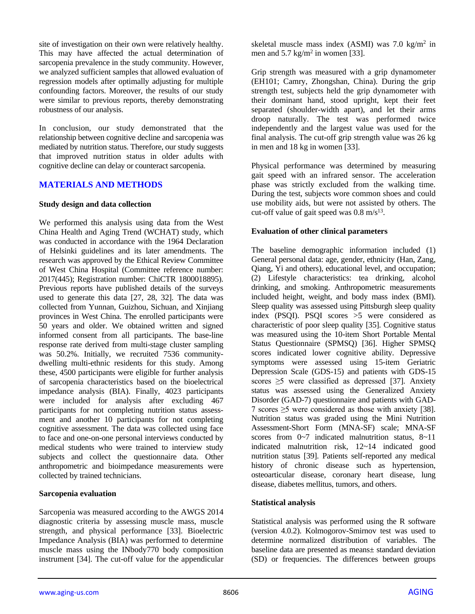site of investigation on their own were relatively healthy. This may have affected the actual determination of sarcopenia prevalence in the study community. However, we analyzed sufficient samples that allowed evaluation of regression models after optimally adjusting for multiple confounding factors. Moreover, the results of our study were similar to previous reports, thereby demonstrating robustness of our analysis.

In conclusion, our study demonstrated that the relationship between cognitive decline and sarcopenia was mediated by nutrition status. Therefore, our study suggests that improved nutrition status in older adults with cognitive decline can delay or counteract sarcopenia.

### **MATERIALS AND METHODS**

#### **Study design and data collection**

We performed this analysis using data from the West China Health and Aging Trend (WCHAT) study, which was conducted in accordance with the 1964 Declaration of Helsinki guidelines and its later amendments. The research was approved by the Ethical Review Committee of West China Hospital (Committee reference number: 2017(445); Registration number: ChiCTR 1800018895). Previous reports have published details of the surveys used to generate this data [27, 28, 32]. The data was collected from Yunnan, Guizhou, Sichuan, and Xinjiang provinces in West China. The enrolled participants were 50 years and older. We obtained written and signed informed consent from all participants. The base-line response rate derived from multi-stage cluster sampling was 50.2%. Initially, we recruited 7536 communitydwelling multi-ethnic residents for this study. Among these, 4500 participants were eligible for further analysis of sarcopenia characteristics based on the bioelectrical impedance analysis (BIA). Finally, 4023 participants were included for analysis after excluding 467 participants for not completing nutrition status assessment and another 10 participants for not completing cognitive assessment. The data was collected using face to face and one-on-one personal interviews conducted by medical students who were trained to interview study subjects and collect the questionnaire data. Other anthropometric and bioimpedance measurements were collected by trained technicians.

#### **Sarcopenia evaluation**

Sarcopenia was measured according to the AWGS 2014 diagnostic criteria by assessing muscle mass, muscle strength, and physical performance [33]. Bioelectric Impedance Analysis (BIA) was performed to determine muscle mass using the INbody770 body composition instrument [34]. The cut-off value for the appendicular

skeletal muscle mass index (ASMI) was  $7.0 \text{ kg/m}^2$  in men and  $5.7 \text{ kg/m}^2$  in women [33].

Grip strength was measured with a grip dynamometer (EH101; Camry, Zhongshan, China). During the grip strength test, subjects held the grip dynamometer with their dominant hand, stood upright, kept their feet separated (shoulder-width apart), and let their arms droop naturally. The test was performed twice independently and the largest value was used for the final analysis. The cut-off grip strength value was 26 kg in men and 18 kg in women [33].

Physical performance was determined by measuring gait speed with an infrared sensor. The acceleration phase was strictly excluded from the walking time. During the test, subjects wore common shoes and could use mobility aids, but were not assisted by others. The cut-off value of gait speed was  $0.8 \text{ m/s}^{13}$ .

#### **Evaluation of other clinical parameters**

The baseline demographic information included (1) General personal data: age, gender, ethnicity (Han, Zang, Qiang, Yi and others), educational level, and occupation; (2) Lifestyle characteristics: tea drinking, alcohol drinking, and smoking. Anthropometric measurements included height, weight, and body mass index (BMI). Sleep quality was assessed using Pittsburgh sleep quality index (PSQI). PSQI scores >5 were considered as characteristic of poor sleep quality [35]. Cognitive status was measured using the 10-item Short Portable Mental Status Questionnaire (SPMSQ) [36]. Higher SPMSQ scores indicated lower cognitive ability. Depressive symptoms were assessed using 15-item Geriatric Depression Scale (GDS-15) and patients with GDS-15 scores  $\geq$ 5 were classified as depressed [37]. Anxiety status was assessed using the Generalized Anxiety Disorder (GAD-7) questionnaire and patients with GAD-7 scores ≥5 were considered as those with anxiety [38]. Nutrition status was graded using the Mini Nutrition Assessment-Short Form (MNA-SF) scale; MNA-SF scores from 0~7 indicated malnutrition status, 8~11 indicated malnutrition risk, 12~14 indicated good nutrition status [39]. Patients self-reported any medical history of chronic disease such as hypertension, osteoarticular disease, coronary heart disease, lung disease, diabetes mellitus, tumors, and others.

#### **Statistical analysis**

Statistical analysis was performed using the R software (version 4.0.2). Kolmogorov-Smirnov test was used to determine normalized distribution of variables. The baseline data are presented as means± standard deviation (SD) or frequencies. The differences between groups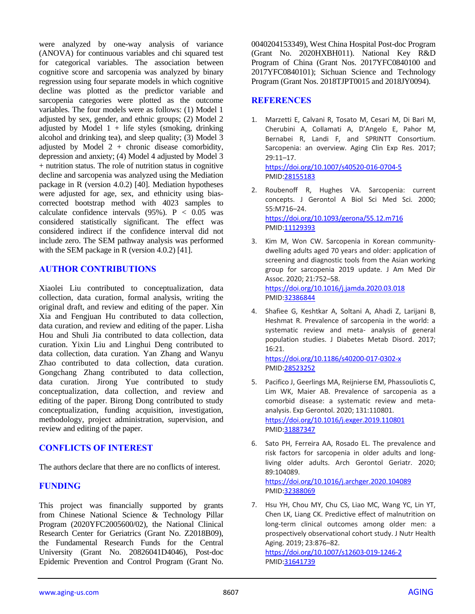were analyzed by one-way analysis of variance (ANOVA) for continuous variables and chi squared test for categorical variables. The association between cognitive score and sarcopenia was analyzed by binary regression using four separate models in which cognitive decline was plotted as the predictor variable and sarcopenia categories were plotted as the outcome variables. The four models were as follows: (1) Model 1 adjusted by sex, gender, and ethnic groups; (2) Model 2 adjusted by Model  $1 +$  life styles (smoking, drinking alcohol and drinking tea), and sleep quality; (3) Model 3 adjusted by Model  $2 +$  chronic disease comorbidity, depression and anxiety; (4) Model 4 adjusted by Model 3 + nutrition status. The role of nutrition status in cognitive decline and sarcopenia was analyzed using the Mediation package in R (version 4.0.2) [40]. Mediation hypotheses were adjusted for age, sex, and ethnicity using biascorrected bootstrap method with 4023 samples to calculate confidence intervals  $(95\%)$ . P < 0.05 was considered statistically significant. The effect was considered indirect if the confidence interval did not include zero. The SEM pathway analysis was performed with the SEM package in R (version 4.0.2) [41].

## **AUTHOR CONTRIBUTIONS**

Xiaolei Liu contributed to conceptualization, data collection, data curation, formal analysis, writing the original draft, and review and editing of the paper. Xin Xia and Fengjuan Hu contributed to data collection, data curation, and review and editing of the paper. Lisha Hou and Shuli Jia contributed to data collection, data curation. Yixin Liu and Linghui Deng contributed to data collection, data curation. Yan Zhang and Wanyu Zhao contributed to data collection, data curation. Gongchang Zhang contributed to data collection, data curation. Jirong Yue contributed to study conceptualization, data collection, and review and editing of the paper. Birong Dong contributed to study conceptualization, funding acquisition, investigation, methodology, project administration, supervision, and review and editing of the paper.

# **CONFLICTS OF INTEREST**

The authors declare that there are no conflicts of interest.

# **FUNDING**

This project was financially supported by grants from Chinese National Science & Technology Pillar Program (2020YFC2005600/02), the National Clinical Research Center for Geriatrics (Grant No. Z2018B09), the Fundamental Research Funds for the Central University (Grant No. 20826041D4046), Post-doc Epidemic Prevention and Control Program (Grant No.

0040204153349), West China Hospital Post-doc Program (Grant No. 2020HXBH011). National Key R&D Program of China (Grant Nos. 2017YFC0840100 and 2017YFC0840101); Sichuan Science and Technology Program (Grant Nos. 2018TJPT0015 and 2018JY0094).

## **REFERENCES**

- 1. Marzetti E, Calvani R, Tosato M, Cesari M, Di Bari M, Cherubini A, Collamati A, D'Angelo E, Pahor M, Bernabei R, Landi F, and SPRINTT Consortium. Sarcopenia: an overview. Aging Clin Exp Res. 2017; 29:11–17. <https://doi.org/10.1007/s40520-016-0704-5> PMI[D:28155183](https://pubmed.ncbi.nlm.nih.gov/28155183)
- 2. Roubenoff R, Hughes VA. Sarcopenia: current concepts. J Gerontol A Biol Sci Med Sci. 2000; 55:M716–24. <https://doi.org/10.1093/gerona/55.12.m716> PMI[D:11129393](https://pubmed.ncbi.nlm.nih.gov/11129393)
- 3. Kim M, Won CW. Sarcopenia in Korean communitydwelling adults aged 70 years and older: application of screening and diagnostic tools from the Asian working group for sarcopenia 2019 update. J Am Med Dir Assoc. 2020; 21:752–58. <https://doi.org/10.1016/j.jamda.2020.03.018>
	- PMI[D:32386844](https://pubmed.ncbi.nlm.nih.gov/32386844)
- 4. Shafiee G, Keshtkar A, Soltani A, Ahadi Z, Larijani B, Heshmat R. Prevalence of sarcopenia in the world: a systematic review and meta- analysis of general population studies. J Diabetes Metab Disord. 2017; 16:21. <https://doi.org/10.1186/s40200-017-0302-x>

PMI[D:28523252](https://pubmed.ncbi.nlm.nih.gov/28523252)

- 5. Pacifico J, Geerlings MA, Reijnierse EM, Phassouliotis C, Lim WK, Maier AB. Prevalence of sarcopenia as a comorbid disease: a systematic review and metaanalysis. Exp Gerontol. 2020; 131:110801. <https://doi.org/10.1016/j.exger.2019.110801> PMI[D:31887347](https://pubmed.ncbi.nlm.nih.gov/31887347)
- 6. Sato PH, Ferreira AA, Rosado EL. The prevalence and risk factors for sarcopenia in older adults and longliving older adults. Arch Gerontol Geriatr. 2020; 89:104089. <https://doi.org/10.1016/j.archger.2020.104089> PMI[D:32388069](https://pubmed.ncbi.nlm.nih.gov/32388069)
- 7. Hsu YH, Chou MY, Chu CS, Liao MC, Wang YC, Lin YT, Chen LK, Liang CK. Predictive effect of malnutrition on long-term clinical outcomes among older men: a prospectively observational cohort study. J Nutr Health Aging. 2019; 23:876–82. <https://doi.org/10.1007/s12603-019-1246-2> PMI[D:31641739](https://pubmed.ncbi.nlm.nih.gov/31641739)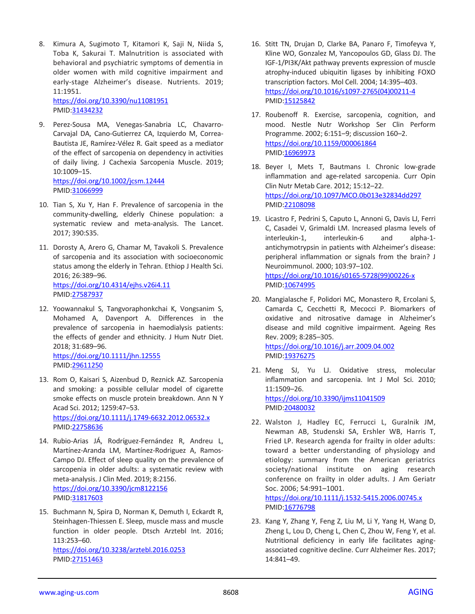8. Kimura A, Sugimoto T, Kitamori K, Saji N, Niida S, Toba K, Sakurai T. Malnutrition is associated with behavioral and psychiatric symptoms of dementia in older women with mild cognitive impairment and early-stage Alzheimer's disease. Nutrients. 2019; 11:1951.

<https://doi.org/10.3390/nu11081951> PMID[:31434232](https://pubmed.ncbi.nlm.nih.gov/31434232)

- 9. Perez-Sousa MA, Venegas-Sanabria LC, Chavarro-Carvajal DA, Cano-Gutierrez CA, Izquierdo M, Correa-Bautista JE, Ramírez-Vélez R. Gait speed as a mediator of the effect of sarcopenia on dependency in activities of daily living. J Cachexia Sarcopenia Muscle. 2019; 10:1009–15. <https://doi.org/10.1002/jcsm.12444> PMID[:31066999](https://pubmed.ncbi.nlm.nih.gov/31066999)
- 10. Tian S, Xu Y, Han F. Prevalence of sarcopenia in the community-dwelling, elderly Chinese population: a systematic review and meta-analysis. The Lancet. 2017; 390:S35.
- 11. Dorosty A, Arero G, Chamar M, Tavakoli S. Prevalence of sarcopenia and its association with socioeconomic status among the elderly in Tehran. Ethiop J Health Sci. 2016; 26:389–96. <https://doi.org/10.4314/ejhs.v26i4.11> PMID[:27587937](https://pubmed.ncbi.nlm.nih.gov/27587937)
- 12. Yoowannakul S, Tangvoraphonkchai K, Vongsanim S, Mohamed A, Davenport A. Differences in the prevalence of sarcopenia in haemodialysis patients: the effects of gender and ethnicity. J Hum Nutr Diet. 2018; 31:689–96.

<https://doi.org/10.1111/jhn.12555> PMID[:29611250](https://pubmed.ncbi.nlm.nih.gov/29611250)

- 13. Rom O, Kaisari S, Aizenbud D, Reznick AZ. Sarcopenia and smoking: a possible cellular model of cigarette smoke effects on muscle protein breakdown. Ann N Y Acad Sci. 2012; 1259:47–53. <https://doi.org/10.1111/j.1749-6632.2012.06532.x> PMID[:22758636](https://pubmed.ncbi.nlm.nih.gov/22758636)
- 14. Rubio-Arias JÁ, Rodríguez-Fernández R, Andreu L, Martínez-Aranda LM, Martínez-Rodriguez A, Ramos-Campo DJ. Effect of sleep quality on the prevalence of sarcopenia in older adults: a systematic review with meta-analysis. J Clin Med. 2019; 8:2156. <https://doi.org/10.3390/jcm8122156> PMID[:31817603](https://pubmed.ncbi.nlm.nih.gov/31817603)
- 15. Buchmann N, Spira D, Norman K, Demuth I, Eckardt R, Steinhagen-Thiessen E. Sleep, muscle mass and muscle function in older people. Dtsch Arztebl Int. 2016; 113:253–60. <https://doi.org/10.3238/arztebl.2016.0253> PMID[:27151463](https://pubmed.ncbi.nlm.nih.gov/27151463)
- 16. Stitt TN, Drujan D, Clarke BA, Panaro F, Timofeyva Y, Kline WO, Gonzalez M, Yancopoulos GD, Glass DJ. The IGF-1/PI3K/Akt pathway prevents expression of muscle atrophy-induced ubiquitin ligases by inhibiting FOXO transcription factors. Mol Cell. 2004; 14:395–403. [https://doi.org/10.1016/s1097-2765\(04\)00211-4](https://doi.org/10.1016/s1097-2765(04)00211-4) PMI[D:15125842](https://pubmed.ncbi.nlm.nih.gov/15125842)
- 17. Roubenoff R. Exercise, sarcopenia, cognition, and mood. Nestle Nutr Workshop Ser Clin Perform Programme. 2002; 6:151–9; discussion 160–2. <https://doi.org/10.1159/000061864> PMI[D:16969973](https://pubmed.ncbi.nlm.nih.gov/16969973)
- 18. Beyer I, Mets T, Bautmans I. Chronic low-grade inflammation and age-related sarcopenia. Curr Opin Clin Nutr Metab Care. 2012; 15:12–22. <https://doi.org/10.1097/MCO.0b013e32834dd297> PMI[D:22108098](https://pubmed.ncbi.nlm.nih.gov/22108098)
- 19. Licastro F, Pedrini S, Caputo L, Annoni G, Davis LJ, Ferri C, Casadei V, Grimaldi LM. Increased plasma levels of interleukin-1, interleukin-6 and alpha-1 antichymotrypsin in patients with Alzheimer's disease: peripheral inflammation or signals from the brain? J Neuroimmunol. 2000; 103:97–102. [https://doi.org/10.1016/s0165-5728\(99\)00226-x](https://doi.org/10.1016/s0165-5728(99)00226-x) PMI[D:10674995](https://pubmed.ncbi.nlm.nih.gov/10674995)
- 20. Mangialasche F, Polidori MC, Monastero R, Ercolani S, Camarda C, Cecchetti R, Mecocci P. Biomarkers of oxidative and nitrosative damage in Alzheimer's disease and mild cognitive impairment. Ageing Res Rev. 2009; 8:285–305. <https://doi.org/10.1016/j.arr.2009.04.002> PMI[D:19376275](https://pubmed.ncbi.nlm.nih.gov/19376275)
- 21. Meng SJ, Yu LJ. Oxidative stress, molecular inflammation and sarcopenia. Int J Mol Sci. 2010; 11:1509–26. <https://doi.org/10.3390/ijms11041509> PMI[D:20480032](https://pubmed.ncbi.nlm.nih.gov/20480032)
- 22. Walston J, Hadley EC, Ferrucci L, Guralnik JM, Newman AB, Studenski SA, Ershler WB, Harris T, Fried LP. Research agenda for frailty in older adults: toward a better understanding of physiology and etiology: summary from the American geriatrics society/national institute on aging research conference on frailty in older adults. J Am Geriatr Soc. 2006; 54:991–1001. <https://doi.org/10.1111/j.1532-5415.2006.00745.x>

PMI[D:16776798](https://pubmed.ncbi.nlm.nih.gov/16776798)

23. Kang Y, Zhang Y, Feng Z, Liu M, Li Y, Yang H, Wang D, Zheng L, Lou D, Cheng L, Chen C, Zhou W, Feng Y, et al. Nutritional deficiency in early life facilitates agingassociated cognitive decline. Curr Alzheimer Res. 2017; 14:841–49.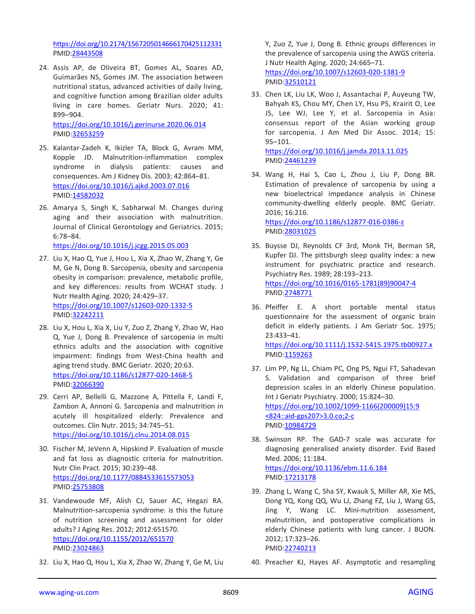<https://doi.org/10.2174/1567205014666170425112331> PMID[:28443508](https://pubmed.ncbi.nlm.nih.gov/28443508)

24. Assis AP, de Oliveira BT, Gomes AL, Soares AD, Guimarães NS, Gomes JM. The association between nutritional status, advanced activities of daily living, and cognitive function among Brazilian older adults living in care homes. Geriatr Nurs. 2020; 41: 899–904.

<https://doi.org/10.1016/j.gerinurse.2020.06.014> PMID[:32653259](https://pubmed.ncbi.nlm.nih.gov/32653259)

- 25. Kalantar-Zadeh K, Ikizler TA, Block G, Avram MM, Kopple JD. Malnutrition-inflammation complex syndrome in dialysis patients: causes and consequences. Am J Kidney Dis. 2003; 42:864–81. <https://doi.org/10.1016/j.ajkd.2003.07.016> PMID[:14582032](https://pubmed.ncbi.nlm.nih.gov/14582032)
- 26. Amarya S, Singh K, Sabharwal M. Changes during aging and their association with malnutrition. Journal of Clinical Gerontology and Geriatrics. 2015; 6:78–84.

<https://doi.org/10.1016/j.jcgg.2015.05.003>

- 27. Liu X, Hao Q, Yue J, Hou L, Xia X, Zhao W, Zhang Y, Ge M, Ge N, Dong B. Sarcopenia, obesity and sarcopenia obesity in comparison: prevalence, metabolic profile, and key differences: results from WCHAT study. J Nutr Health Aging. 2020; 24:429–37. <https://doi.org/10.1007/s12603-020-1332-5> PMID[:32242211](https://pubmed.ncbi.nlm.nih.gov/32242211)
- 28. Liu X, Hou L, Xia X, Liu Y, Zuo Z, Zhang Y, Zhao W, Hao Q, Yue J, Dong B. Prevalence of sarcopenia in multi ethnics adults and the association with cognitive impairment: findings from West-China health and aging trend study. BMC Geriatr. 2020; 20:63. <https://doi.org/10.1186/s12877-020-1468-5> PMID[:32066390](https://pubmed.ncbi.nlm.nih.gov/32066390)
- 29. Cerri AP, Bellelli G, Mazzone A, Pittella F, Landi F, Zambon A, Annoni G. Sarcopenia and malnutrition in acutely ill hospitalized elderly: Prevalence and outcomes. Clin Nutr. 2015; 34:745–51. <https://doi.org/10.1016/j.clnu.2014.08.015>
- 30. Fischer M, JeVenn A, Hipskind P. Evaluation of muscle and fat loss as diagnostic criteria for malnutrition. Nutr Clin Pract. 2015; 30:239–48. <https://doi.org/10.1177/0884533615573053> PMID[:25753808](https://pubmed.ncbi.nlm.nih.gov/25753808)
- 31. Vandewoude MF, Alish CJ, Sauer AC, Hegazi RA. Malnutrition-sarcopenia syndrome: is this the future of nutrition screening and assessment for older adults? J Aging Res. 2012; 2012:651570. <https://doi.org/10.1155/2012/651570> PMID[:23024863](https://pubmed.ncbi.nlm.nih.gov/23024863)
- 32. Liu X, Hao Q, Hou L, Xia X, Zhao W, Zhang Y, Ge M, Liu

Y, Zuo Z, Yue J, Dong B. Ethnic groups differences in the prevalence of sarcopenia using the AWGS criteria. J Nutr Health Aging. 2020; 24:665–71. <https://doi.org/10.1007/s12603-020-1381-9> PMID[:32510121](https://pubmed.ncbi.nlm.nih.gov/32510121)

33. Chen LK, Liu LK, Woo J, Assantachai P, Auyeung TW, Bahyah KS, Chou MY, Chen LY, Hsu PS, Krairit O, Lee JS, Lee WJ, Lee Y, et al. Sarcopenia in Asia: consensus report of the Asian working group for sarcopenia. J Am Med Dir Assoc. 2014; 15: 95–101. <https://doi.org/10.1016/j.jamda.2013.11.025>

PMID[:24461239](https://pubmed.ncbi.nlm.nih.gov/24461239)

34. Wang H, Hai S, Cao L, Zhou J, Liu P, Dong BR. Estimation of prevalence of sarcopenia by using a new bioelectrical impedance analysis in Chinese community-dwelling elderly people. BMC Geriatr. 2016; 16:216.

<https://doi.org/10.1186/s12877-016-0386-z> PMID[:28031025](https://pubmed.ncbi.nlm.nih.gov/28031025)

- 35. Buysse DJ, Reynolds CF 3rd, Monk TH, Berman SR, Kupfer DJ. The pittsburgh sleep quality index: a new instrument for psychiatric practice and research. Psychiatry Res. 1989; 28:193–213. [https://doi.org/10.1016/0165-1781\(89\)90047-4](https://doi.org/10.1016/0165-1781(89)90047-4) PMID[:2748771](https://pubmed.ncbi.nlm.nih.gov/2748771)
- 36. Pfeiffer E. A short portable mental status questionnaire for the assessment of organic brain deficit in elderly patients. J Am Geriatr Soc. 1975; 23:433–41. <https://doi.org/10.1111/j.1532-5415.1975.tb00927.x> PMID[:1159263](https://pubmed.ncbi.nlm.nih.gov/1159263)
- 37. Lim PP, Ng LL, Chiam PC, Ong PS, Ngui FT, Sahadevan S. Validation and comparison of three brief depression scales in an elderly Chinese population. Int J Geriatr Psychiatry. 2000; 15:824–30. [https://doi.org/10.1002/1099-1166\(200009\)15:9](https://doi.org/10.1002/1099-1166(200009)15:9%3c824::aid-gps207%3e3.0.co;2-c) [<824::aid-gps207>3.0.co;2-c](https://doi.org/10.1002/1099-1166(200009)15:9%3c824::aid-gps207%3e3.0.co;2-c) PMID[:10984729](https://pubmed.ncbi.nlm.nih.gov/10984729)
- 38. Swinson RP. The GAD-7 scale was accurate for diagnosing generalised anxiety disorder. Evid Based Med. 2006; 11:184. <https://doi.org/10.1136/ebm.11.6.184> PMID[:17213178](https://pubmed.ncbi.nlm.nih.gov/17213178)
- 39. Zhang L, Wang C, Sha SY, Kwauk S, Miller AR, Xie MS, Dong YQ, Kong QQ, Wu LJ, Zhang FZ, Liu J, Wang GS, Jing Y, Wang LC. Mini-nutrition assessment, malnutrition, and postoperative complications in elderly Chinese patients with lung cancer. J BUON. 2012; 17:323–26. PMID[:22740213](https://pubmed.ncbi.nlm.nih.gov/22740213)
- 40. Preacher KJ, Hayes AF. Asymptotic and resampling